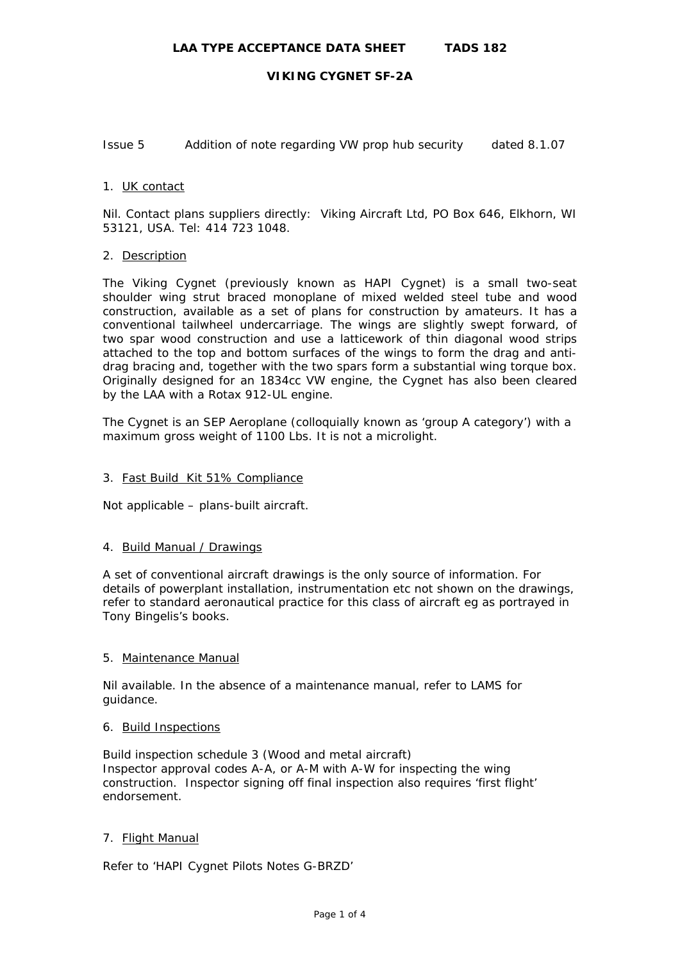Issue 5 Addition of note regarding VW prop hub security dated 8.1.07

## 1. UK contact

Nil. Contact plans suppliers directly: Viking Aircraft Ltd, PO Box 646, Elkhorn, WI 53121, USA. Tel: 414 723 1048.

## 2. Description

The Viking Cygnet (previously known as HAPI Cygnet) is a small two-seat shoulder wing strut braced monoplane of mixed welded steel tube and wood construction, available as a set of plans for construction by amateurs. It has a conventional tailwheel undercarriage. The wings are slightly swept forward, of two spar wood construction and use a latticework of thin diagonal wood strips attached to the top and bottom surfaces of the wings to form the drag and antidrag bracing and, together with the two spars form a substantial wing torque box. Originally designed for an 1834cc VW engine, the Cygnet has also been cleared by the LAA with a Rotax 912-UL engine.

The Cygnet is an SEP Aeroplane (colloquially known as 'group A category') with a maximum gross weight of 1100 Lbs. It is not a microlight.

## 3. Fast Build Kit 51% Compliance

Not applicable – plans-built aircraft.

## 4. Build Manual / Drawings

A set of conventional aircraft drawings is the only source of information. For details of powerplant installation, instrumentation etc not shown on the drawings, refer to standard aeronautical practice for this class of aircraft eg as portrayed in Tony Bingelis's books.

## 5. Maintenance Manual

Nil available. In the absence of a maintenance manual, refer to LAMS for guidance.

## 6. Build Inspections

Build inspection schedule 3 (Wood and metal aircraft) Inspector approval codes A-A, or A-M with A-W for inspecting the wing construction. Inspector signing off final inspection also requires 'first flight' endorsement.

# 7. Flight Manual

Refer to 'HAPI Cygnet Pilots Notes G-BRZD'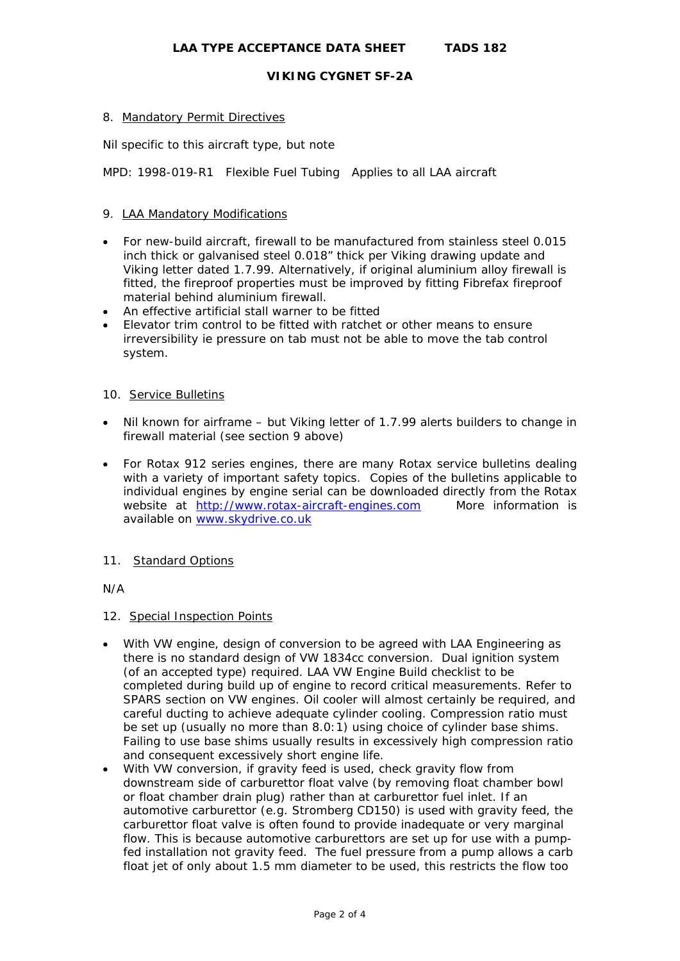# 8. Mandatory Permit Directives

Nil specific to this aircraft type, but note

MPD: 1998-019-R1 Flexible Fuel Tubing Applies to all LAA aircraft

# 9. LAA Mandatory Modifications

- For new-build aircraft, firewall to be manufactured from stainless steel 0.015 inch thick or galvanised steel 0.018" thick per Viking drawing update and Viking letter dated 1.7.99. Alternatively, if original aluminium alloy firewall is fitted, the fireproof properties must be improved by fitting Fibrefax fireproof material behind aluminium firewall.
- An effective artificial stall warner to be fitted
- Elevator trim control to be fitted with ratchet or other means to ensure irreversibility ie pressure on tab must not be able to move the tab control system.

## 10. Service Bulletins

- Nil known for airframe but Viking letter of 1.7.99 alerts builders to change in firewall material (see section 9 above)
- For Rotax 912 series engines, there are many Rotax service bulletins dealing with a variety of important safety topics. Copies of the bulletins applicable to individual engines by engine serial can be downloaded directly from the Rotax website at [http://www.rotax-aircraft-engines.com](http://www.rotax-aircraft-engines.com/) More information is available on [www.skydrive.co.uk](http://www.skydrive.co.uk/)

## 11. Standard Options

N/A

## 12. Special Inspection Points

- With VW engine, design of conversion to be agreed with LAA Engineering as there is no standard design of VW 1834cc conversion. Dual ignition system (of an accepted type) required. LAA VW Engine Build checklist to be completed during build up of engine to record critical measurements. Refer to SPARS section on VW engines. Oil cooler will almost certainly be required, and careful ducting to achieve adequate cylinder cooling. Compression ratio must be set up (usually no more than 8.0:1) using choice of cylinder base shims. Failing to use base shims usually results in excessively high compression ratio and consequent excessively short engine life.
- With VW conversion, if gravity feed is used, check gravity flow from downstream side of carburettor float valve (by removing float chamber bowl or float chamber drain plug) rather than at carburettor fuel inlet. If an automotive carburettor (e.g. Stromberg CD150) is used with gravity feed, the carburettor float valve is often found to provide inadequate or very marginal flow. This is because automotive carburettors are set up for use with a pumpfed installation not gravity feed. The fuel pressure from a pump allows a carb float jet of only about 1.5 mm diameter to be used, this restricts the flow too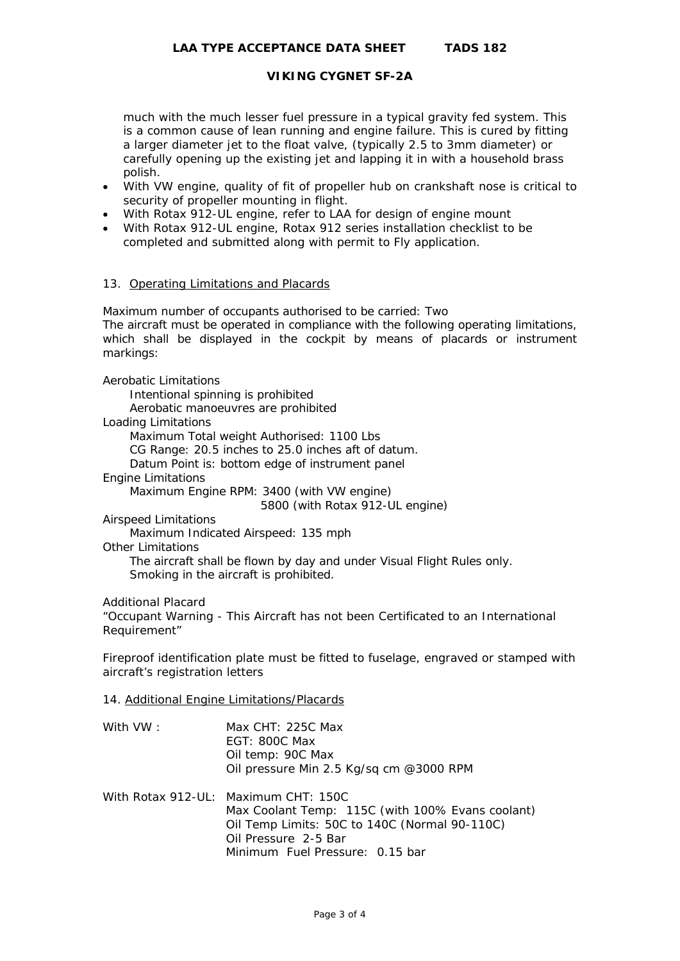much with the much lesser fuel pressure in a typical gravity fed system. This is a common cause of lean running and engine failure. This is cured by fitting a larger diameter jet to the float valve, (typically 2.5 to 3mm diameter) or carefully opening up the existing jet and lapping it in with a household brass polish.

- With VW engine, quality of fit of propeller hub on crankshaft nose is critical to security of propeller mounting in flight.
- With Rotax 912-UL engine, refer to LAA for design of engine mount
- With Rotax 912-UL engine, Rotax 912 series installation checklist to be completed and submitted along with permit to Fly application.

# 13. Operating Limitations and Placards

Maximum number of occupants authorised to be carried: Two The aircraft must be operated in compliance with the following operating limitations, which shall be displayed in the cockpit by means of placards or instrument markings:

Aerobatic Limitations

Intentional spinning is prohibited

Aerobatic manoeuvres are prohibited

Loading Limitations

Maximum Total weight Authorised: 1100 Lbs

CG Range: 20.5 inches to 25.0 inches aft of datum.

Datum Point is: bottom edge of instrument panel

Engine Limitations

Maximum Engine RPM: 3400 (with VW engine)

5800 (with Rotax 912-UL engine)

Airspeed Limitations

Maximum Indicated Airspeed: 135 mph

Other Limitations

 The aircraft shall be flown by day and under Visual Flight Rules only. Smoking in the aircraft is prohibited.

Additional Placard

"Occupant Warning - This Aircraft has not been Certificated to an International Requirement"

Fireproof identification plate must be fitted to fuselage, engraved or stamped with aircraft's registration letters

- 14. Additional Engine Limitations/Placards
- With VW: Max CHT: 225C Max EGT: 800C Max Oil temp: 90C Max Oil pressure Min 2.5 Kg/sq cm @3000 RPM
- With Rotax 912-UL: Maximum CHT: 150C Max Coolant Temp: 115C (with 100% Evans coolant) Oil Temp Limits: 50C to 140C (Normal 90-110C) Oil Pressure 2-5 Bar Minimum Fuel Pressure: 0.15 bar